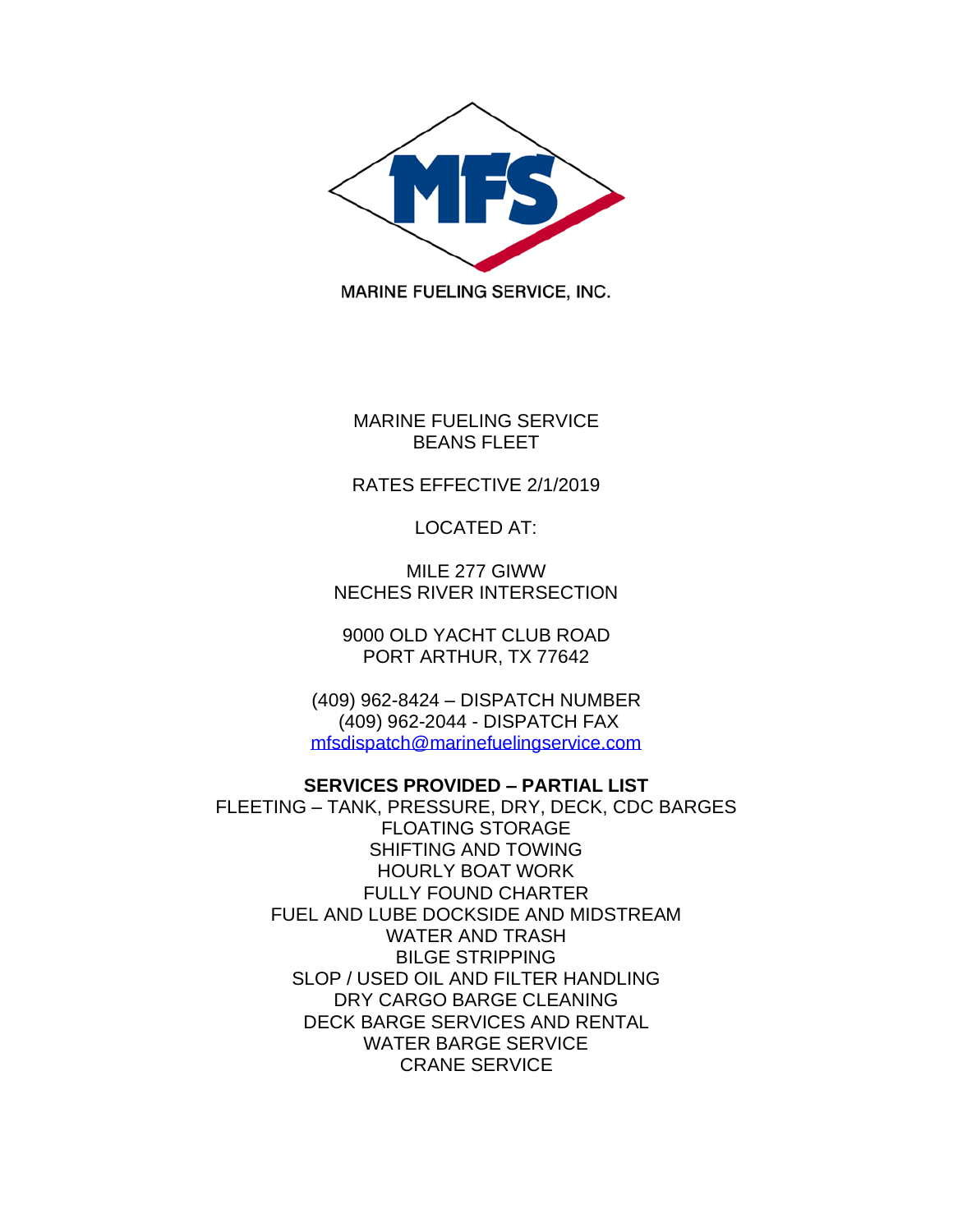

MARINE FUELING SERVICE BEANS FLEET

## RATES EFFECTIVE 2/1/2019

LOCATED AT:

MILE 277 GIWW NECHES RIVER INTERSECTION

9000 OLD YACHT CLUB ROAD PORT ARTHUR, TX 77642

(409) 962-8424 – DISPATCH NUMBER (409) 962-2044 - DISPATCH FAX [mfsdispatch@marinefuelingservice.com](mailto:mfsdispatch@marinefuelingservice.com)

## **SERVICES PROVIDED – PARTIAL LIST**

FLEETING – TANK, PRESSURE, DRY, DECK, CDC BARGES FLOATING STORAGE SHIFTING AND TOWING HOURLY BOAT WORK FULLY FOUND CHARTER FUEL AND LUBE DOCKSIDE AND MIDSTREAM WATER AND TRASH BILGE STRIPPING SLOP / USED OIL AND FILTER HANDLING DRY CARGO BARGE CLEANING DECK BARGE SERVICES AND RENTAL WATER BARGE SERVICE CRANE SERVICE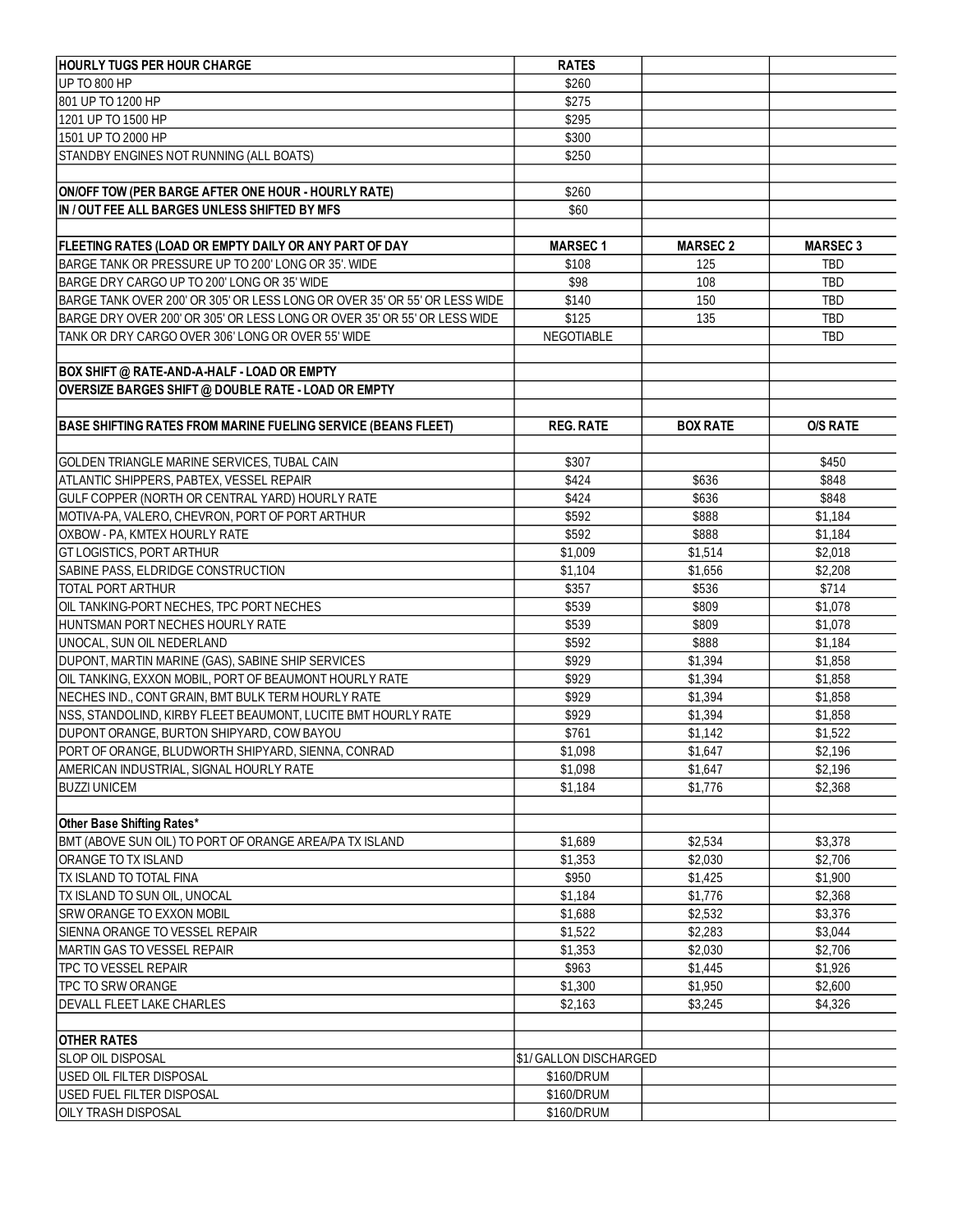| <b>HOURLY TUGS PER HOUR CHARGE</b>                                        | <b>RATES</b>           |                 |                 |
|---------------------------------------------------------------------------|------------------------|-----------------|-----------------|
| UP TO 800 HP                                                              | \$260                  |                 |                 |
| 801 UP TO 1200 HP                                                         | \$275                  |                 |                 |
| 1201 UP TO 1500 HP                                                        | \$295                  |                 |                 |
| 1501 UP TO 2000 HP                                                        | \$300                  |                 |                 |
| STANDBY ENGINES NOT RUNNING (ALL BOATS)                                   | \$250                  |                 |                 |
|                                                                           |                        |                 |                 |
| ON/OFF TOW (PER BARGE AFTER ONE HOUR - HOURLY RATE)                       | \$260                  |                 |                 |
| IN / OUT FEE ALL BARGES UNLESS SHIFTED BY MFS                             | \$60                   |                 |                 |
|                                                                           |                        |                 |                 |
| <b>FLEETING RATES (LOAD OR EMPTY DAILY OR ANY PART OF DAY</b>             | <b>MARSEC1</b>         | <b>MARSEC 2</b> | <b>MARSEC 3</b> |
| BARGE TANK OR PRESSURE UP TO 200' LONG OR 35'. WIDE                       | \$108                  | 125             | <b>TBD</b>      |
| BARGE DRY CARGO UP TO 200' LONG OR 35' WIDE                               | \$98                   | 108             | <b>TBD</b>      |
| BARGE TANK OVER 200' OR 305' OR LESS LONG OR OVER 35' OR 55' OR LESS WIDE | \$140                  | 150             | <b>TBD</b>      |
| BARGE DRY OVER 200' OR 305' OR LESS LONG OR OVER 35' OR 55' OR LESS WIDE  | \$125                  | 135             | <b>TBD</b>      |
| TANK OR DRY CARGO OVER 306' LONG OR OVER 55' WIDE                         | <b>NEGOTIABLE</b>      |                 | <b>TBD</b>      |
|                                                                           |                        |                 |                 |
| <b>BOX SHIFT @ RATE-AND-A-HALF - LOAD OR EMPTY</b>                        |                        |                 |                 |
| OVERSIZE BARGES SHIFT @ DOUBLE RATE - LOAD OR EMPTY                       |                        |                 |                 |
|                                                                           |                        |                 |                 |
| BASE SHIFTING RATES FROM MARINE FUELING SERVICE (BEANS FLEET)             | <b>REG. RATE</b>       | <b>BOX RATE</b> | <b>O/S RATE</b> |
|                                                                           |                        |                 |                 |
| GOLDEN TRIANGLE MARINE SERVICES, TUBAL CAIN                               | \$307                  |                 | \$450           |
| ATLANTIC SHIPPERS, PABTEX, VESSEL REPAIR                                  | \$424                  | \$636           | \$848           |
| GULF COPPER (NORTH OR CENTRAL YARD) HOURLY RATE                           | \$424                  | \$636           | \$848           |
| MOTIVA-PA, VALERO, CHEVRON, PORT OF PORT ARTHUR                           | \$592                  | \$888           | \$1,184         |
| OXBOW - PA, KMTEX HOURLY RATE                                             | \$592                  | \$888           | \$1,184         |
| GT LOGISTICS, PORT ARTHUR                                                 | \$1,009                | \$1,514         | \$2,018         |
| SABINE PASS, ELDRIDGE CONSTRUCTION                                        | \$1,104                | \$1,656         | \$2,208         |
| <b>TOTAL PORT ARTHUR</b>                                                  | \$357                  | \$536           | \$714           |
| OIL TANKING-PORT NECHES, TPC PORT NECHES                                  | \$539                  | \$809           | \$1,078         |
| HUNTSMAN PORT NECHES HOURLY RATE                                          | \$539                  | \$809           | \$1,078         |
| UNOCAL, SUN OIL NEDERLAND                                                 | \$592                  | \$888           | \$1,184         |
| DUPONT, MARTIN MARINE (GAS), SABINE SHIP SERVICES                         | \$929                  | \$1,394         | \$1,858         |
| OIL TANKING, EXXON MOBIL, PORT OF BEAUMONT HOURLY RATE                    | \$929                  | \$1,394         | \$1,858         |
| NECHES IND., CONT GRAIN, BMT BULK TERM HOURLY RATE                        | \$929                  | \$1,394         | \$1,858         |
| NSS, STANDOLIND, KIRBY FLEET BEAUMONT, LUCITE BMT HOURLY RATE             | \$929                  | \$1,394         | \$1,858         |
| DUPONT ORANGE, BURTON SHIPYARD, COW BAYOU                                 | \$761                  | \$1,142         | \$1,522         |
| PORT OF ORANGE. BLUDWORTH SHIPYARD. SIENNA. CONRAD                        | \$1,098                | \$1,647         | \$2,196         |
| AMERICAN INDUSTRIAL, SIGNAL HOURLY RATE                                   | \$1,098                | \$1,647         | \$2,196         |
| <b>BUZZI UNICEM</b>                                                       | \$1,184                | \$1,776         | \$2,368         |
|                                                                           |                        |                 |                 |
| Other Base Shifting Rates*                                                |                        |                 |                 |
| BMT (ABOVE SUN OIL) TO PORT OF ORANGE AREA/PA TX ISLAND                   | \$1,689                | \$2,534         | \$3,378         |
| ORANGE TO TX ISLAND                                                       | \$1,353                | \$2,030         | \$2,706         |
| TX ISLAND TO TOTAL FINA                                                   | \$950                  | \$1,425         | \$1,900         |
| TX ISLAND TO SUN OIL, UNOCAL                                              | \$1,184                | \$1,776         | \$2,368         |
| SRW ORANGE TO EXXON MOBIL                                                 | \$1,688                | \$2,532         | \$3,376         |
| SIENNA ORANGE TO VESSEL REPAIR                                            | \$1,522                | \$2,283         | \$3,044         |
| MARTIN GAS TO VESSEL REPAIR                                               | \$1,353                | \$2,030         | \$2,706         |
| <b>TPC TO VESSEL REPAIR</b>                                               | \$963                  | \$1,445         | \$1,926         |
| TPC TO SRW ORANGE                                                         | \$1,300                | \$1,950         | \$2,600         |
| <b>DEVALL FLEET LAKE CHARLES</b>                                          | \$2,163                | \$3,245         | \$4,326         |
|                                                                           |                        |                 |                 |
| <b>OTHER RATES</b>                                                        |                        |                 |                 |
| <b>SLOP OIL DISPOSAL</b>                                                  | \$1/ GALLON DISCHARGED |                 |                 |
| USED OIL FILTER DISPOSAL                                                  | \$160/DRUM             |                 |                 |
| USED FUEL FILTER DISPOSAL                                                 | \$160/DRUM             |                 |                 |
| <b>OILY TRASH DISPOSAL</b>                                                | \$160/DRUM             |                 |                 |
|                                                                           |                        |                 |                 |